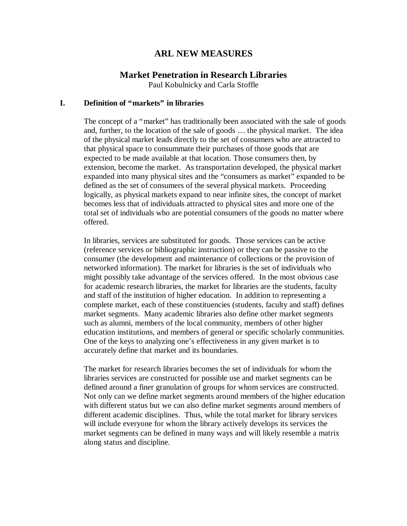# **ARL NEW MEASURES**

## **Market Penetration in Research Libraries**

Paul Kobulnicky and Carla Stoffle

## **I. Definition of "markets" in libraries**

The concept of a "market" has traditionally been associated with the sale of goods and, further, to the location of the sale of goods … the physical market. The idea of the physical market leads directly to the set of consumers who are attracted to that physical space to consummate their purchases of those goods that are expected to be made available at that location. Those consumers then, by extension, become the market. As transportation developed, the physical market expanded into many physical sites and the "consumers as market" expanded to be defined as the set of consumers of the several physical markets. Proceeding logically, as physical markets expand to near infinite sites, the concept of market becomes less that of individuals attracted to physical sites and more one of the total set of individuals who are potential consumers of the goods no matter where offered.

In libraries, services are substituted for goods. Those services can be active (reference services or bibliographic instruction) or they can be passive to the consumer (the development and maintenance of collections or the provision of networked information). The market for libraries is the set of individuals who might possibly take advantage of the services offered. In the most obvious case for academic research libraries, the market for libraries are the students, faculty and staff of the institution of higher education. In addition to representing a complete market, each of these constituencies (students, faculty and staff) defines market segments. Many academic libraries also define other market segments such as alumni, members of the local community, members of other higher education institutions, and members of general or specific scholarly communities. One of the keys to analyzing one's effectiveness in any given market is to accurately define that market and its boundaries.

The market for research libraries becomes the set of individuals for whom the libraries services are constructed for possible use and market segments can be defined around a finer granulation of groups for whom services are constructed. Not only can we define market segments around members of the higher education with different status but we can also define market segments around members of different academic disciplines. Thus, while the total market for library services will include everyone for whom the library actively develops its services the market segments can be defined in many ways and will likely resemble a matrix along status and discipline.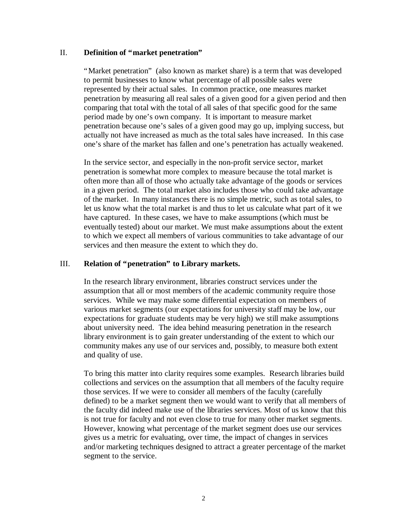#### II. **Definition of "market penetration"**

"Market penetration" (also known as market share) is a term that was developed to permit businesses to know what percentage of all possible sales were represented by their actual sales. In common practice, one measures market penetration by measuring all real sales of a given good for a given period and then comparing that total with the total of all sales of that specific good for the same period made by one's own company. It is important to measure market penetration because one's sales of a given good may go up, implying success, but actually not have increased as much as the total sales have increased. In this case one's share of the market has fallen and one's penetration has actually weakened.

In the service sector, and especially in the non-profit service sector, market penetration is somewhat more complex to measure because the total market is often more than all of those who actually take advantage of the goods or services in a given period. The total market also includes those who could take advantage of the market. In many instances there is no simple metric, such as total sales, to let us know what the total market is and thus to let us calculate what part of it we have captured. In these cases, we have to make assumptions (which must be eventually tested) about our market. We must make assumptions about the extent to which we expect all members of various communities to take advantage of our services and then measure the extent to which they do.

### III. **Relation of "penetration" to Library markets.**

In the research library environment, libraries construct services under the assumption that all or most members of the academic community require those services. While we may make some differential expectation on members of various market segments (our expectations for university staff may be low, our expectations for graduate students may be very high) we still make assumptions about university need. The idea behind measuring penetration in the research library environment is to gain greater understanding of the extent to which our community makes any use of our services and, possibly, to measure both extent and quality of use.

To bring this matter into clarity requires some examples. Research libraries build collections and services on the assumption that all members of the faculty require those services. If we were to consider all members of the faculty (carefully defined) to be a market segment then we would want to verify that all members of the faculty did indeed make use of the libraries services. Most of us know that this is not true for faculty and not even close to true for many other market segments. However, knowing what percentage of the market segment does use our services gives us a metric for evaluating, over time, the impact of changes in services and/or marketing techniques designed to attract a greater percentage of the market segment to the service.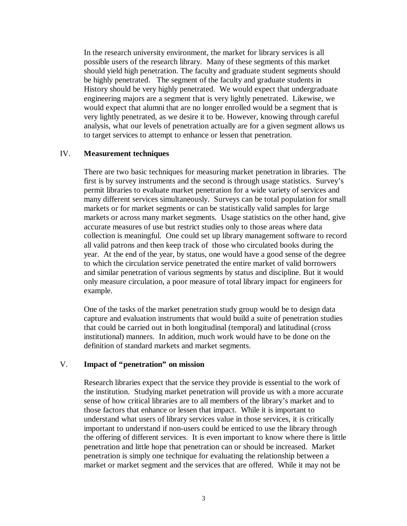In the research university environment, the market for library services is all possible users of the research library. Many of these segments of this market should yield high penetration. The faculty and graduate student segments should be highly penetrated. The segment of the faculty and graduate students in History should be very highly penetrated. We would expect that undergraduate engineering majors are a segment that is very lightly penetrated. Likewise, we would expect that alumni that are no longer enrolled would be a segment that is very lightly penetrated, as we desire it to be. However, knowing through careful analysis, what our levels of penetration actually are for a given segment allows us to target services to attempt to enhance or lessen that penetration.

#### IV. **Measurement techniques**

There are two basic techniques for measuring market penetration in libraries. The first is by survey instruments and the second is through usage statistics. Survey's permit libraries to evaluate market penetration for a wide variety of services and many different services simultaneously. Surveys can be total population for small markets or for market segments or can be statistically valid samples for large markets or across many market segments. Usage statistics on the other hand, give accurate measures of use but restrict studies only to those areas where data collection is meaningful. One could set up library management software to record all valid patrons and then keep track of those who circulated books during the year. At the end of the year, by status, one would have a good sense of the degree to which the circulation service penetrated the entire market of valid borrowers and similar penetration of various segments by status and discipline. But it would only measure circulation, a poor measure of total library impact for engineers for example.

One of the tasks of the market penetration study group would be to design data capture and evaluation instruments that would build a suite of penetration studies that could be carried out in both longitudinal (temporal) and latitudinal (cross institutional) manners. In addition, much work would have to be done on the definition of standard markets and market segments.

#### V. **Impact of "penetration" on mission**

Research libraries expect that the service they provide is essential to the work of the institution. Studying market penetration will provide us with a more accurate sense of how critical libraries are to all members of the library's market and to those factors that enhance or lessen that impact. While it is important to understand what users of library services value in those services, it is critically important to understand if non-users could be enticed to use the library through the offering of different services. It is even important to know where there is little penetration and little hope that penetration can or should be increased. Market penetration is simply one technique for evaluating the relationship between a market or market segment and the services that are offered. While it may not be